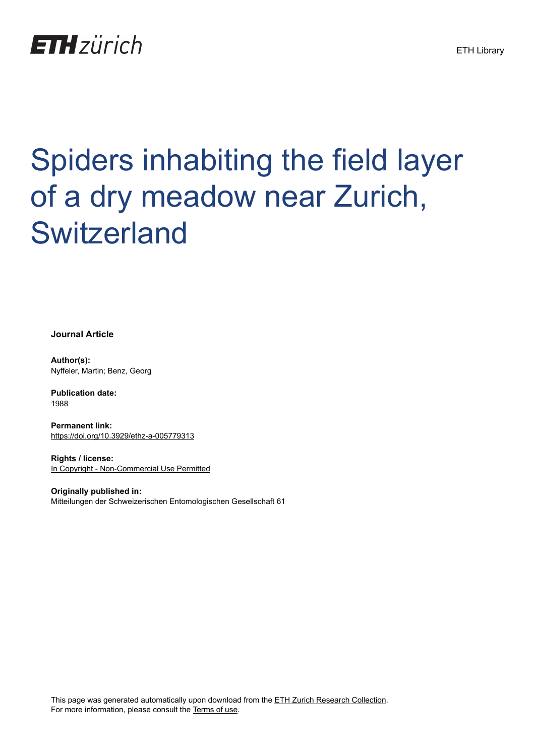# **ETH**zürich

# Spiders inhabiting the field layer of a dry meadow near Zurich, **Switzerland**

**Journal Article**

**Author(s):** Nyffeler, Martin; Benz, Georg

**Publication date:** 1988

**Permanent link:** <https://doi.org/10.3929/ethz-a-005779313>

**Rights / license:** [In Copyright - Non-Commercial Use Permitted](http://rightsstatements.org/page/InC-NC/1.0/)

**Originally published in:** Mitteilungen der Schweizerischen Entomologischen Gesellschaft 61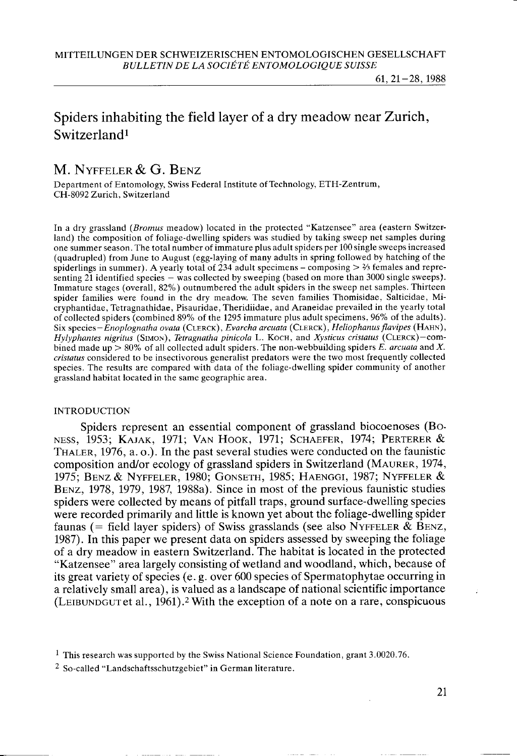## Spiders inhabiting the field layer of a dry meadow near Zurich, Switzerland<sup>1</sup>

### M. NYFFELER & G. BENZ

Department of Entomology, Swiss Federal Institute of Technology, ETH-Zentrum, CH-8092 Zurich. Switzerland

In a dry grassland (Bromus meadow) located in the protected "Katzensee" area (eastern Switzerland) the composition of foliage-dwelling spiders was studied by taking sweep net samples during one summer season. The total number ofimmature plus adult spiders per 100 single sweeps increased (quadrupled) from June to August (egg-laying of many adults in spring followed by hatching of the spiderlings in summer). A yearly total of 234 adult specimens  $-$  composing  $>$  2/3 females and representing 21 identified species - was collected by sweeping (based on more than 3000 single sweeps). Immature stages (overall, 82%) outnumbered the adult spiders in the sweep net samples. Thirteen spider families were found in the dry meadow. The seven families Thomisidae, Salticidae, Micryphantidae, Tetragnathidae, Pisauridae, Theridiidae, and Araneidae prevailed in the yearly total of collected spiders (combined 89% of the 1295 immature plus adult specimens, 96% of the adults). Six species-Enoplognatha ovata (CLERCK), Evarcha arcuata (CLERCK), Heliophanus flavipes (HAHN), Hylyphantes nigritus (SIMON), Tetragnatha pinicola L. KOCH, and Xysticus cristatus (CLERCK)-combined made up  $> 80\%$  of all collected adult spiders. The non-webbuilding spiders E. arcuata and X. cristatus considered to be insectivorous generalist predators were the two most frequently collected species. The results are compared with data of the foliage-dwelling spider community of another grassland habitat located in the same geographic area.

#### **INTRODUCTION**

Spiders represent an essential component of grassland biocoenoses (Bo-NESS, 1953; KAJAK, 1971; VAN HOOK, 1971; SCHAEFER, 1974; PERTERER & THALER,  $1976$ , a. o.). In the past several studies were conducted on the faunistic composition and/or ecology of grassland spiders in Switzerland (MAURER, 1974, 1975; Benz & Nyffeler, 1980; Gonseth, 1985; Haenggi, 1987; Nyffeler & B<sub>ENZ</sub>, 1978, 1979, 1987, 1988a). Since in most of the previous faunistic studies spiders were collected by means of pitfall traps, ground surface-dwelling species were recorded primarily and little is known yet about the foliage-dwelling spider faunas (= field layer spiders) of Swiss grasslands (see also NYFFELER & BENZ, 1987). In this paper we present data on spiders assessed by sweeping the foliage of a dry meadow in eastern Switzerland. The habitat is located in the protected "Katzensee" area largely consisting of wetland and woodland, which, because of its great variety of species (e. g. over 600 species of Spermatophytae occurring in a relatively small area), is valued as a landscape of national scientific importance (LEIBUNDGUT et al.,  $1961$ ).<sup>2</sup> With the exception of a note on a rare, conspicuous

2 So-called "Landschaftsschutzgebiet" in German literature.

<sup>&</sup>lt;sup>1</sup> This research was supported by the Swiss National Science Foundation, grant  $3.0020.76$ .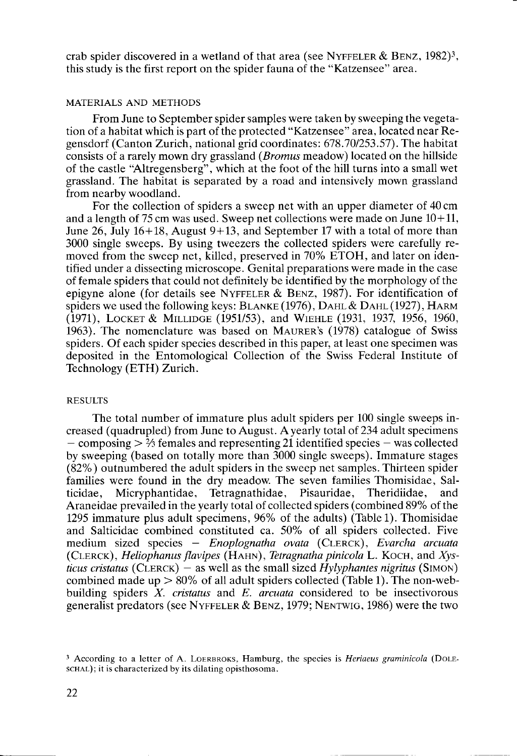crab spider discovered in a wetland of that area (see NYFFELER & BENZ, 1982)<sup>3</sup>, this study is the first report on the spider fauna of the "Katzensee" area.

#### MATERIALS AND METHODS

From June to September spider samples were taken by sweeping the vegetation of a habitat which is part of the protected "Katzensee" area, located near Regensdorf (Canton Zurich, national grid coordinates:678.701253.57). The habitat consists of a rarely mown dry grassland (*Bromus* meadow) located on the hillside of the castle 'Altregensberg", which at the foot of the hill turns into a small wet grassland. The habitat is separated by a road and intensively mown grassland from nearby woodland.

For the collection of spiders a sweep net with an upper diameter of 40 cm and a length of 75 cm was used. Sweep net collections were made on June  $10+11$ , June 26, July  $16+18$ , August  $9+13$ , and September 17 with a total of more than 3000 single sweeps. By using tweezers the collected spiders were carefully removed from the sweep net, killed, preserved in 70% ETOH, and later on identified under a dissecting microscope. Genital preparations were made in the case of female spiders that could not definitely be identified by the morphology of the epigyne alone (for details see NYFFELER & BENZ, 1987). For identification of spiders we used the following keys:  $BLANKE(1976)$ ,  $DAHL & DAHL(1927)$ ,  $HARM$ (1971), LOCKET & MILLIDGE (1951/53), and WIEHLE (1931, 1937, 1956, 1960, 1963). The nomenclature was based on MAURER's  $(1978)$  catalogue of Swiss spiders. Of each spider species described in this paper, at least one specimen was deposited in the Entomological Collection of the Swiss Federal Institute of Technology (ETH) Zurich.

#### **RESULTS**

The total number of immature plus adult spiders per 100 single sweeps increased (quadrupled) from June to August. A yearly total of 234 adult specimens  $-$  composing  $> 2/3$  females and representing 21 identified species  $-$  was collected by sweeping (based on totally more than 3000 single sweeps). Immature stages (82%) outnumbered the adult spiders in the sweep net samples. Thirteen spider families were found in the dry meadow The seven families Thomisidae, Salticidae, Micryphantidae, Tetragnathidae, Pisauridae, Theridiidae, and Araneidae prevailed in the yearly total of collected spiders (combined 89% of the 1295 immature plus adult specimens,  $96\%$  of the adults) (Table 1). Thomisidae and Salticidae combined constituted ca. 50% of all spiders collected. Five medium sized species - Enoplognatha ovata (CLERCK), Evarcha arcuata (CLERCK), Heliophanus flavipes (HAHN), Tetragnatha pinicola L. KOCH, and Xysticus cristatus (CLERCK) - as well as the small sized Hylyphantes nigritus (SIMON) combined made up  $> 80\%$  of all adult spiders collected (Table 1). The non-webbuilding spiders  $X$ . *cristatus* and  $E$ . *arcuata* considered to be insectivorous generalist predators (see NYFFELER & BENZ, 1979; NENTWIG, 1986) were the two

<sup>&</sup>lt;sup>3</sup> According to a letter of A. LOERBROKS, Hamburg, the species is *Heriaeus graminicola* (DOLEschal); it is characterized by its dilating opisthosoma.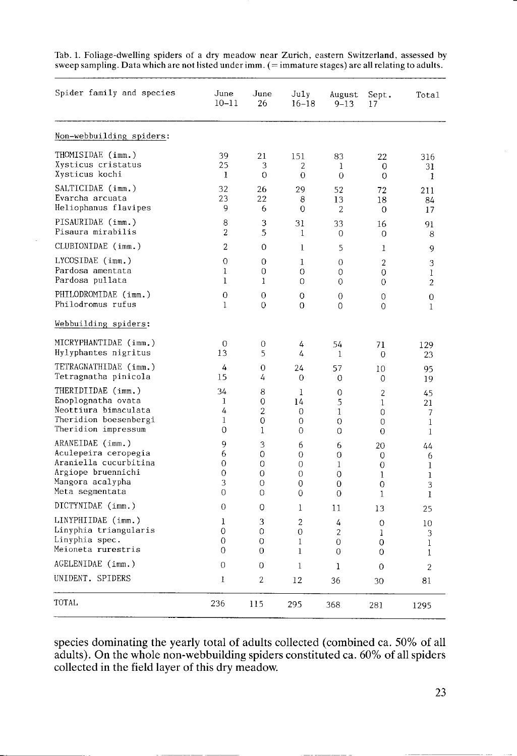| Spider family and species | June<br>$10 - 11$ | June<br>26     | July<br>$16 - 18$ | August<br>$9 - 13$ | Sept.<br>17    | Total          |
|---------------------------|-------------------|----------------|-------------------|--------------------|----------------|----------------|
| Non-webbuilding spiders:  |                   |                |                   |                    |                |                |
| THOMISIDAE (imm.)         | 39                | 21             | 151               | 83                 | 22             | 316            |
| Xysticus cristatus        | 25                | 3              | $\overline{2}$    | 1                  | 0              | 31             |
| Xysticus kochi            | 1                 | $\circ$        | 0                 | $\Omega$           | $\Omega$       | 1              |
| SALTICIDAE (imm.)         | 32                | 26             | 29                | 52                 | 72             | 211            |
| Evarcha arcuata           | 23                | 22             | 8                 | 13                 | 18             | 84             |
| Heliophanus flavipes      | 9                 | 6              | 0                 | 2                  | 0              | 17             |
| PISAURIDAE (imm.)         | 8                 | 3              | 31                | 33                 | 16             | 91             |
| Pisaura mirabilis         | 2                 | 5              | 1                 | 0                  | 0              | 8              |
| CLUBIONIDAE (imm.)        | $\overline{2}$    | $\Omega$       | $\bf{l}$          | 5                  | 1              | 9              |
| LYCOSIDAE (imm.)          | $\overline{0}$    | $\overline{O}$ | $\mathbf{1}$      | 0                  | $\overline{2}$ | 3              |
| Pardosa amentata          | $\mathbf{1}$      | 0              | 0                 | 0                  | 0              | 1              |
| Pardosa pullata           | 1                 | 1              | 0                 | $\Omega$           | $\Omega$       | $\overline{2}$ |
| PHILODROMIDAE (imm.)      | 0                 | 0              | 0                 | $\Omega$           | 0              | 0              |
| Philodromus rufus         | $\mathbf{1}$      | $\Omega$       | $\Omega$          | 0                  | 0              | 1              |
| Webbuilding spiders:      |                   |                |                   |                    |                |                |
| MICRYPHANTIDAE (imm.)     | $\overline{0}$    | $\overline{0}$ | 4                 | 54                 | 71             | 129            |
| Hylyphantes nigritus      | 13                | 5              | 4                 | 1                  | 0              | 23             |
| TETRAGNATHIDAE (imm.)     | 4                 | $\Omega$       | 24                | 57                 | 10             | 95             |
| Tetragnatha pinicola      | 15                | 4              | $\overline{0}$    | $\overline{0}$     | 0              | 19             |
| THERIDIIDAE (imm.)        | 34                | 8              | 1                 | $\overline{0}$     | $\overline{2}$ | 45             |
| Enoplognatha ovata        | 1                 | $\overline{O}$ | 14                | 5                  | $\mathbf{1}$   | 21             |
| Neottiura bimaculata      | 4                 | $\overline{2}$ | 0                 | 1                  | 0              | 7              |
| Theridion boesenbergi     | 1                 | 0              | 0                 | $\Omega$           | 0              | 1              |
| Theridion impressum       | 0                 | $\mathbf{1}$   | 0                 | 0                  | 0              | $\mathbf{1}$   |
| ARANEIDAE (imm.)          | 9                 | 3              | 6                 | 6                  | 20             | 44             |
| Aculepeira ceropegia      | 6                 | 0              | 0                 | $\Omega$           | $\Omega$       | 6              |
| Araniella cucurbitina     | $\overline{0}$    | $\Omega$       | 0                 | $\mathbf{1}$       | 0              | 1              |
| Argiope bruennichi        | 0                 | 0              | 0                 | 0                  | 1              | $\mathbf{1}$   |
| Mangora acalypha          | 3                 | 0              | 0                 | $\Omega$           | 0              | 3              |
| Meta segmentata           | $\Omega$          | $\Omega$       | 0                 | $\Omega$           | 1              | 1              |
| DICTYNIDAE (imm.)         | 0                 | 0              | 1                 | 11                 | 13             | 25             |
| LINYPHIIDAE (imm.)        | $\mathbf{1}$      | 3              | $\overline{2}$    | 4                  | $\Omega$       | 10             |
| Linyphia triangularis     | 0                 | 0              | 0                 | $\overline{c}$     | 1              | 3              |
| Linyphia spec.            | 0                 | $\overline{0}$ | 1                 | 0                  | 0              | 1              |
| Meioneta rurestris        | $\Omega$          | $\Omega$       | $\mathbf{1}$      | $\Omega$           | $\Omega$       | 1              |
| AGELENIDAE (imm.)         | 0                 | 0              | 1                 | 1                  | 0              | 2              |
| UNIDENT. SPIDERS          | 1                 | $\overline{2}$ | 12                | 36                 | 30             | 81             |
| TOTAL                     | 236               | 115            | 295               | 368                | 281            | 1295           |

Tab.1. Foliage-dwelling spiders of a dry meadow near Zurich, eastern Switzerland, assessed by sweep sampling. Data which are not listed under imm. (= immature stages) are all relating to adults.

species dominating the yearly total of adults collected (combined ca. 50% of all adults). On the whole non-webbuilding spiders constituted ca. 60% of all spiders collected in the field layer of this dry meadow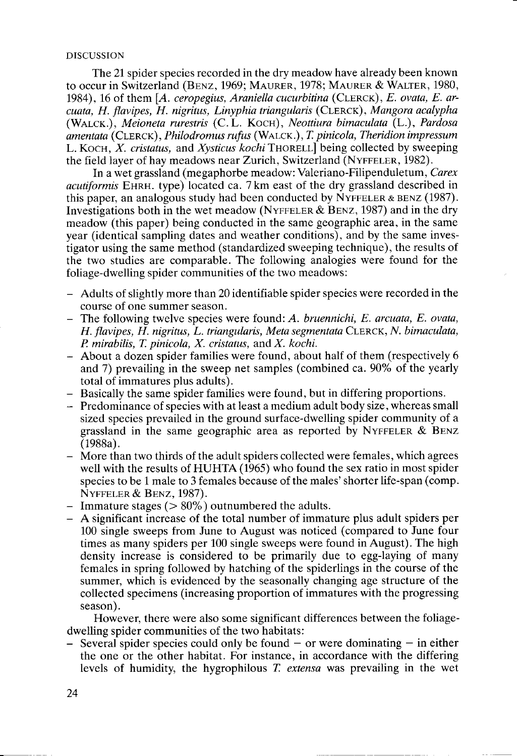#### DISCUSSION

The 21 spider species recorded in the dry meadow have already been known to occur in Switzerland (BENZ, 1969; MAURER, 1978; MAURER & WALTER, 1980, 1984), 16 of them  $[A.$  ceropegius, Araniella cucurbitina (CLERCK),  $E.$  ovata,  $E.$  arcuata, H. flavipes, H. nigritus, Linyphia triangularis (CLERCK), Mangora acalypha (WALCK.), Meioneta rurestris (C.L. KOCH), Neottiura bimaculata (L.), Pardosa amentata (CLERCK), Philodromus rufus (WALCK.), T. pinicola, Theridion impressum L. KOCH,  $X$ . cristatus, and Xysticus kochi THORELL] being collected by sweeping the field layer of hay meadows near Zurich, Switzerland (NYFFELER, 1982).

In a wet grassland (megaphorbe meadow: Valeriano-Filipenduletum, Carex acutiform is EHRH. type) located ca. 7 km east of the dry grassland described in this paper, an analogous study had been conducted by NYFFELER & BENZ (1987). Investigations both in the wet meadow (NYFFELER & BENZ, 1987) and in the dry meadow (this paper) being conducted in the same geographic area, in the same year (identical sampling dates and weather conditions), and by the same investigator using the same method (standardized sweeping technique), the results of the two studies are comparable. The following analogies were found for the foliage-dwelling spider communities of the two meadows:

- Adults of slightly more than 20 identifiable spider species were recorded in the course of one summer season.
- $-$  The following twelve species were found: A. bruennichi, E. arcuata, E. ovata, H. flavipes, H. nigritus, L. triangularis, Meta segmentata CLERCK, N. bimaculata,  $P$ . mirabilis, T. pinicola, X. cristatus, and X. kochi.
- About a dozen spider families were found, about half of them (respectively 6 and 7) prevailing in the sweep net samples (combined ca.  $90\%$  of the yearly total of immatures plus adults).
- Basically the same spider families were found, but in differing proportions.
- Predominance of species with at least a medium adult body size, whereas small sized species prevailed in the ground surface-dwelling spider community of a grassland in the same geographic area as reported by NYFFELER  $&$  BENZ (1988a).
- More than two thirds of the adult spiders collected were females, which agrees well with the results of HUHTA (1965) who found the sex ratio in most spider species to be 1 male to 3 females because of the males' shorter life-span (comp.  $N$ YFFELER  $&$  BENZ, 1987).
- Immature stages ( $> 80\%$ ) outnumbered the adults.
- A significant increase of the total number of immature plus adult spiders per 100 single sweeps from June to August was noticed (compared to June four times as many spiders per 100 single sweeps were found in August). The high density increase is considered to be primarily due to egg-laying of many females in spring followed by hatching of the spiderlings in the course of the summer, which is evidenced by the seasonally changing age structure of the collected specimens (increasing proportion of immatures with the progressing season).

However, there were also some significant differences between the foliagedwelling spider communities of the two habitats:

Several spider species could only be found  $-$  or were dominating  $-$  in either the one or the other habitat. For instance, in accordance with the differing levels of humidity, the hygrophilous Z extensa was prevailing in the wet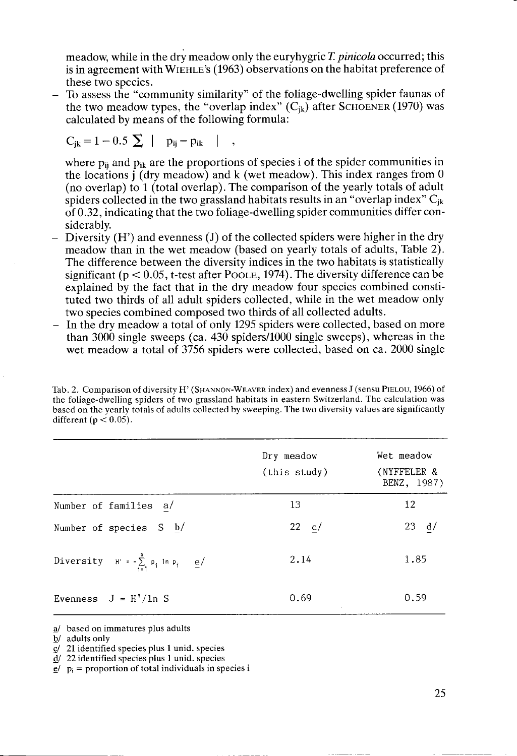meadow, while in the dry meadow only the euryhygric T. pinicola occurred; this is in agreement with WIEHLE's (1963) observations on the habitat preference of these two species.

To assess the "community similarity" of the foliage-dwelling spider faunas of  $\overline{\phantom{0}}$ the two meadow types, the "overlap index"  $(C_{ik})$  after SCHOENER (1970) was calculated by means of the following formula:

$$
C_{jk} = 1 - 0.5 \sum |p_{ij} - p_{ik}| ,
$$

where  $p_{ii}$  and  $p_{ik}$  are the proportions of species i of the spider communities in the locations j (dry meadow) and k (wet meadow). This index ranges from <sup>0</sup> (no overlap) to 1 (total overlap). The comparison of the yearly totals of adult spiders collected in the two grassland habitats results in an "overlap index"  $C_{ik}$ of 0.32, indicating that the two foliage-dwelling spider communities differ considerably.

- Diversity (H') and evenness (J) of the collected spiders were higher in the dry j. meadow than in the wet meadow (based on yearly totals of adults, Table 2). The difference between the diversity indices in the two habitats is statistically significant ( $p < 0.05$ , t-test after POOLE, 1974). The diversity difference can be explained by the fact that in the dry meadow four species combined constituted two thirds of all adult spiders collected, while in the wet meadow only two species combined composed two thirds of all collected adults.
- In the dry meadow a total of only 1295 spiders were collected, based on more than 3000 single sweeps (ca. 430 spiders/1000 single sweeps), whereas in the wet meadow a total of 3756 spiders were collected, based on ca. 2000 single

Tab. 2. Comparison of diversity H' (SHANNON-WEAVER index) and evenness J (sensu PIELOU, 1966) of the foliage-dwelling spiders of two grassland habitats in eastern Switzerland. The calculation was based on the yearly totals of adults collected by sweeping. The two diversity values are significantly different ( $p < 0.05$ ).

|                                                 | Dry meadow<br>(this study) | Wet meadow<br>(NYFFELER &<br>BENZ, 1987) |  |  |
|-------------------------------------------------|----------------------------|------------------------------------------|--|--|
| Number of families a/                           | 13                         | 12                                       |  |  |
| Number of species S b/                          | $22 \text{ c}$             | 23<br>d/                                 |  |  |
| Diversity $H' = -\sum_{i=1}^{s} p_i \ln p_i$ e/ | 2.14                       | 1.85                                     |  |  |
| Evenness $J = H'/ln S$                          | 0.69                       | 0.59                                     |  |  |

a/ based on immatures plus adults

 $\frac{dy}{dx} =$  proportion of total individuals in species is

<sup>&</sup>lt;u>b</u>/ adults only

ql 21 identified species plus I unid. species

d/ 22idenlified species plus 1 unid. species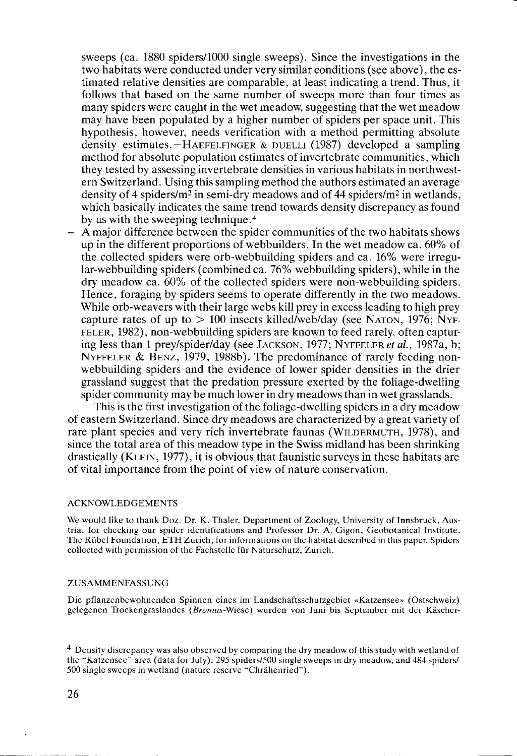sweeps (ca. 1880 spiders/1000 single sweeps). Since the investigations in the two habitats were conducted under very similar conditions (see above), the estimated relative densities are comparable, at least indicating a trend. Thus, it follows that based on the same number of sweeps more than four times as many spiders were caught in the wet meadow, suggesting that the wet meadow may have been populated by a higher number of spiders per space unit. This hypothesis, however, needs verification with a method permitting absolute density estimates. $-HAEFELFINGER \& DUELLI (1987) developed a sampling$ method for absolute population estimates of invertebrate communities, which they tested by assessing invertebrate densities in various habitats in northwestern Switzerland. Using this sampling method the authors estimated an average density of 4 spiders/m<sup>2</sup> in semi-dry meadows and of 44 spiders/m<sup>2</sup> in wetlands, which basically indicates the same trend towards density discrepancy as found by us with the sweeping technique. $4$ 

- A major difference between the spider communities of the two habitats shows up in the different proportions of webbuilders. In the wet meadow ca.  $60\%$  of the collected spiders were orb-webbuilding spiders and ca. 16% were irregular-webbuilding spiders (combined ca.  $76\%$  webbuilding spiders), while in the dry meadow ca.  $60\%$  of the collected spiders were non-webbuilding spiders. Hence, foraging by spiders seems to operate differently in the two meadows. While orb-weavers with their large webs kill prey in excess leading to high prey capture rates of up to  $> 100$  insects killed/web/day (see NATON, 1976; NYF-FELER, 1982), non-webbuilding spiders are known to feed rarely, often capturing less than 1 prey/spider/day (see JACKSON, 1977; NYFFELER et al., 1987a, b; NYFFELER & BENZ, 1979, 1988b). The predominance of rarely feeding nonwebbuilding spiders and the evidence of lower spider densities in the drier grassland suggest that the predation pressure exerted by the foliage-dwelling spider community may be much lower in dry meadows than in wet grasslands.

This is the first investigation of the foliage-dwelling spiders in a dry meadow of eastern Switzerland. Since dry meadows are characterized by a great variety of rare plant species and very rich invertebrate faunas (WILDERMUTH, 1978), and since the total area of this meadow type in the Swiss midland has been shrinking drastically (KLEIN, 1977), it is obvious that faunistic surveys in these habitats are of vital importance from the point of view of nature conservation.

#### ACKNOWLEDGEMENTS

We would like to thank Doz. Dr. K. Thaler, Department of Zoology, University of Innsbruck, Austria, for checking our spider identifications and Professor Dr. A. Gigon, Geobotanical Institute, The Rübel Foundation, ETH Zurich, for informations on the habitat described in this paper. Spiders collected with permission of the Fachstelle für Naturschutz, Zurich.

#### **ZUSAMMENFASSUNG**

Die pflanzenbewohnenden Spinnen eines im Landschaftsschutzgebiet «Katzensee» (Ostschweiz) gelegenen Tiockengraslandes (Bromas-Wiese) wurden von Juni bis September mit der Käscher-

<sup>4</sup> Density discrepancy was also observed by comparing the dry meadow of this study with wetland of the "Katzensee" area (data for July): 295 spiders/5OO single sweeps in dry meadow, and 484 spiders/ 500 single sweeps in wetland (nature reserve "Chrähenried").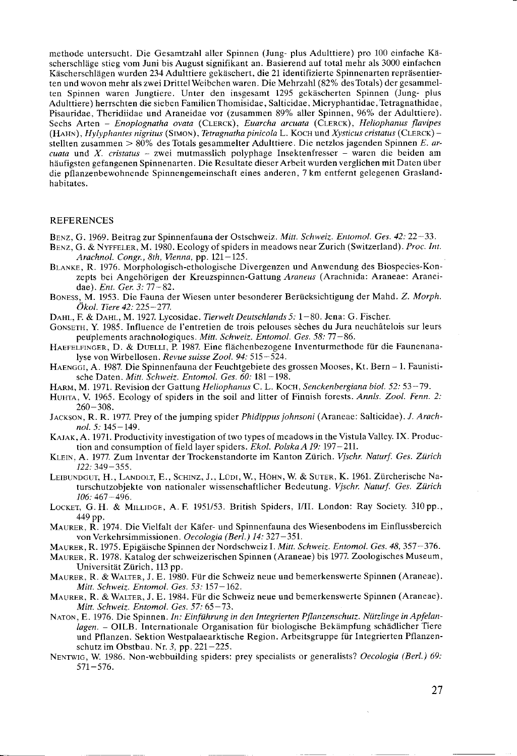methode untersucht. Die Gesamtzahl aller Spinnen (Jung- plus Adulttiere) pro 100 einfache Käscherschläge stieg vom Juni bis August signifikant an. Basierend auf total mehr als 3000 einfachen Käscherschlägen wurden 234 Adulttiere gekäschert, die 21 identifizierte Spinnenarten repräsentierten und wovon mehr als zwei DrittelWeibchen waren. Die Mehrzahl (82% desTotals) der gesammelten Spinnen waren Jungtiere. Unter den insgesamt 1295 gekäscherten Spinnen (Jung- plus Adulttiere) herrschten die sieben FamilienThomisidae, Salticidae, Micryphantidae. Tetragnathidae, Pisauridae, Theridiidae und Araneidae vor (zusammen 89% aller Spinnen, 96% der Adulttiere). Sechs Arten - Enoplognatha ovata (CLERCK), Euarcha arcuata (CLERCK), Heliophanus flavipes  $(HAHN)$ , Hylyphantes nigritus (SIMON), Tetragnatha pinicola L. Koch und Xysticus cristatus (CLERCK) stellten zusammen  $> 80\%$  des Totals gesammelter Adulttiere. Die netzlos jagenden Spinnen E. ar $cuata$  und X. cristatus - zwei mutmasslich polyphage Insektenfresser - waren die beiden am häufigsten gefangenen Spinnenarten. Die Resultate dieser Arbeit wurden verglichen mit Daten über die pflanzenbewohnende Spinnengemeinschaft eines anderen, Tkm entfernt gelegenen Graslandhabitates.

#### **REFERENCES**

Benz, G. 1969. Beitrag zur Spinnenfauna der Ostschweiz . Mitt. Schweiz. Entomol. Ges. 42: 22-33.

- BENZ, G. & NYFFELER, M. 1980. Ecology of spiders in meadows near Zurich (Switzerland). Proc. Int. Arachnol. Congr., 8th, Vienna, pp. 121-125.
- BLANKE, R. 1976. Morphologisch-ethologische Divergenzen und Anwendung des Biospecies-Konzepts bei Angehörigen der Kreuzspinnen-Gattung Araneus (Arachnida: Araneae: Araneidae). Ent. Ger. 3: 77 - 82.
- Borrss, M. 1953. Die Fauna der Wiesen unter besonderer Berücksichtigung der Mahd. Z. Morph. Ökol. Tiere 42: 225–277.
- DAHL, F. & DAHL, M. 1927. Lycosidae. Tierwelt Deutschlands 5: 1-80. Jena: G. Fischer.
- GONSETH, Y. 1985. Influence de l'entretien de trois pelouses sèches du Jura neuchâtelois sur leurs peuplements arachnologiques. Mitt. Schweiz. Entomol. Ges. 58: 77-86.
- HAEFELFINGER, D. & DUELLI, P. 1987. Eine flächenbezogene Inventurmethode für die Faunenanalyse von Wirbellosen. Revue suisse Zool. 94: 515-524.
- HAENGGI, A. 1987. Die Spinnenfauna der Feuchtgebiete des grossen Mooses, Kt. Bern 1. Faunistische Daten. Mitt. Schweiz. Entomol. Ges. 60: 181-198.
- HARM, M. 1971. Revision der Gattung Heliophanus C. L. Koch, Senckenbergiana biol. 52: 53-79.
- HUHTA, V. 1965. Ecology of spiders in the soil and litter of Finnish forests. Annls. Zool. Fenn. 2: 260-308.
- Jackson, R. R. 1977. Prey of the jumping spider Phidippus johnsoni (Araneae: Salticidae). J. Arachnol. 5: 145-149.
- KAJAK, A. 1971. Productivity investigation of two types of meadows in the Vistula Valley. IX. Production and consumption of field layer spiders. Ekol. Polska A 19: 197-211.
- KLEIN, A. 1977. Zum Inventar der Trockenstandorte im Kanton Zürich. Vischr. Naturf. Ges. Zürich 122:349-355.
- LEIBUNDGUT, H., LANDOLT, E., SCHINZ, J., LÜDI, W., HÖHN, W. & SUTER, K. 1961. Zürcherische Naturschutzobjekte von nationaler wissenschaftlicher Bedeutung. Vjschr. Naturf. Ges. Zürich  $106:467 - 496.$
- LOCKET, G. H. & MILLIDGE, A. F. 1951/53. British Spiders, I/II. London: Ray Society. 310 pp., 449 pp.
- MAURER, R. 1974. Die Vielfalt der Käfer- und Spinnenfauna des Wiesenbodens im Einflussbereich von Verkehrsimmissionen. Oecologia (Berl.) 14: 327–351.
- MAURER, R. 1975. Epigäische Spinnen der Nordschweiz I. Mitt. Schweiz. Entomol. Ges. 48, 357-376.
- MAURER, R. 1978. Katalog der schweizerischen Spinnen (Araneae) bis L977. Zoologisches Museum, Universität Zürich, 113 pp.
- MAURER, R. & WALTER, J. E. 1980. Für die Schweiz neue und bemerkenswerte Spinnen (Araneae). Mitt. Schweiz. Entomol. Ges.53: I57-162.
- MAURER, R. & WALTER, J. E. 1984. Für die Schweiz neue und bemerkenswerte Spinnen (Araneae). Mitt. Schweiz. Entomol. Ges. 57: 65-73.
- NATON, E. 1976. Die Spinnen. In: Einführung in den Integrierten Pflanzenschutz. Nützlinge in Apfelan-Iagen. - OILB. Internationale Organisation für biologische Bekämpfung schädlicher Tiere und Pflanzen. Sektion Westpalaearktische Region. Arbeitsgruppe für Integrierten Pflanzenschutz im Obstbau. Nr. 3, pp.  $221-225$ .
- NENTWIG, W. 1986. Non-webbuilding spiders: prey specialists or generalists? Oecologia (Berl.) 69: <sup>571</sup>-576.